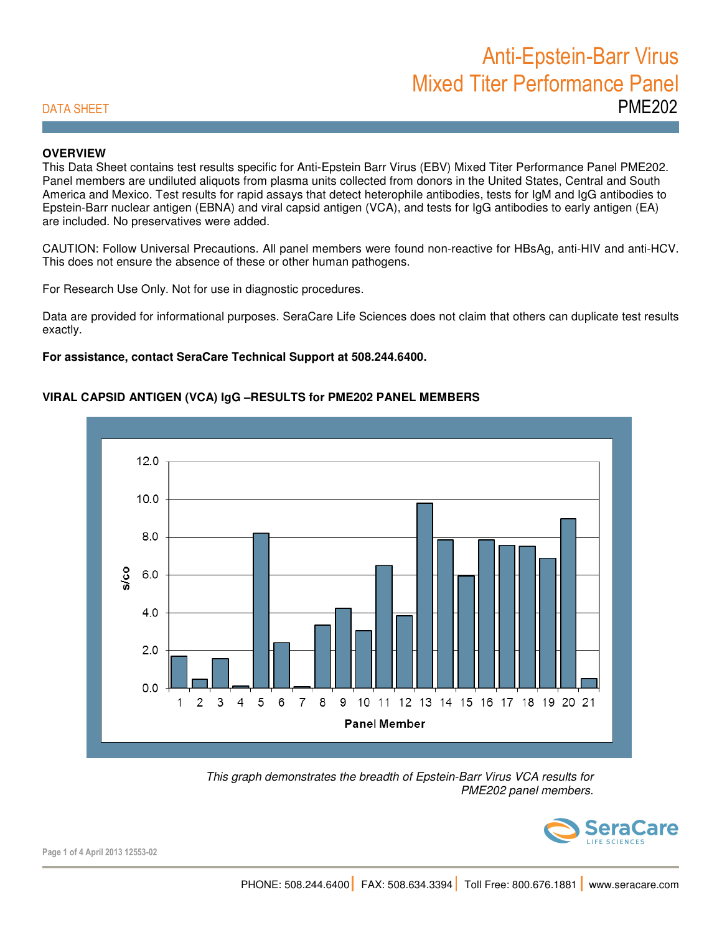## **OVERVIEW**

This Data Sheet contains test results specific for Anti-Epstein Barr Virus (EBV) Mixed Titer Performance Panel PME202. Panel members are undiluted aliquots from plasma units collected from donors in the United States, Central and South America and Mexico. Test results for rapid assays that detect heterophile antibodies, tests for IgM and IgG antibodies to Epstein-Barr nuclear antigen (EBNA) and viral capsid antigen (VCA), and tests for IgG antibodies to early antigen (EA) are included. No preservatives were added.

CAUTION: Follow Universal Precautions. All panel members were found non-reactive for HBsAg, anti-HIV and anti-HCV. This does not ensure the absence of these or other human pathogens.

For Research Use Only. Not for use in diagnostic procedures.

Data are provided for informational purposes. SeraCare Life Sciences does not claim that others can duplicate test results exactly.

### **For assistance, contact SeraCare Technical Support at 508.244.6400.**

## **VIRAL CAPSID ANTIGEN (VCA) IgG –RESULTS for PME202 PANEL MEMBERS**



 This graph demonstrates the breadth of Epstein-Barr Virus VCA results for PME202 panel members.



Page 1 of 4 April 2013 12553-02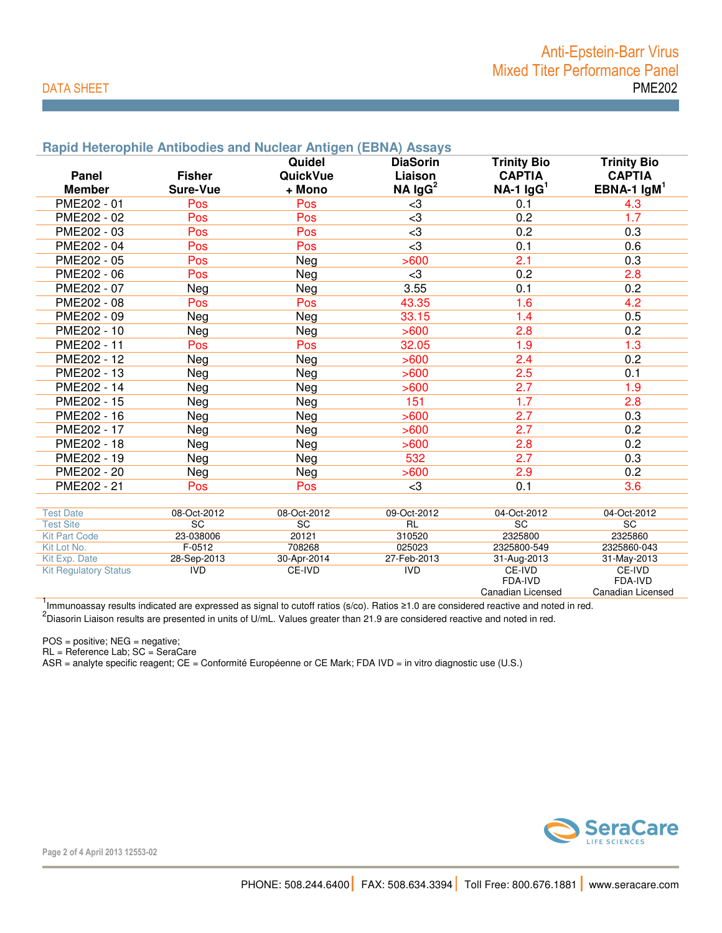# Anti-Epstein-Barr Virus Mixed Titer Performance Panel DATA SHEET PME202

|                              |               | Quidel      | <b>DiaSorin</b> | <b>Trinity Bio</b> | <b>Trinity Bio</b> |
|------------------------------|---------------|-------------|-----------------|--------------------|--------------------|
| Panel                        | <b>Fisher</b> | QuickVue    | Liaison         | <b>CAPTIA</b>      | <b>CAPTIA</b>      |
| <b>Member</b>                | Sure-Vue      | + Mono      | $NA$ $lgG2$     | $NA-1$ $lgG1$      | EBNA-1 $lgM1$      |
| PME202 - 01                  | Pos           | Pos         | $<$ 3           | 0.1                | 4.3                |
| PME202 - 02                  | Pos           | Pos         | $<$ 3           | 0.2                | 1.7                |
| PME202 - 03                  | Pos           | Pos         | $\leq$ 3        | 0.2                | 0.3                |
| PME202 - 04                  | Pos           | Pos         | $\leq$ 3        | 0.1                | 0.6                |
| PME202 - 05                  | Pos           | Neg         | >600            | 2.1                | 0.3                |
| PME202 - 06                  | Pos           | Neg         | $3$             | 0.2                | 2.8                |
| PME202 - 07                  | Neg           | Neg         | 3.55            | 0.1                | 0.2                |
| PME202 - 08                  | Pos           | Pos         | 43.35           | 1.6                | 4.2                |
| PME202 - 09                  | Neg           | Neg         | 33.15           | 1.4                | 0.5                |
| PME202 - 10                  | Neg           | Neg         | >600            | 2.8                | 0.2                |
| PME202 - 11                  | Pos           | Pos         | 32.05           | 1.9                | 1.3                |
| PME202 - 12                  | Neg           | Neg         | >600            | 2.4                | 0.2                |
| PME202 - 13                  | Neg           | Neg         | >600            | 2.5                | 0.1                |
| PME202 - 14                  | Neg           | Neg         | >600            | 2.7                | 1.9                |
| PME202 - 15                  | Neg           | Neg         | 151             | 1.7                | 2.8                |
| PME202 - 16                  | Neg           | Neg         | >600            | 2.7                | 0.3                |
| PME202 - 17                  | Neg           | Neg         | >600            | 2.7                | 0.2                |
| PME202 - 18                  | Neg           | Neg         | >600            | 2.8                | 0.2                |
| PME202 - 19                  | Neg           | Neg         | 532             | 2.7                | 0.3                |
| PME202 - 20                  | Neg           | Neg         | >600            | 2.9                | 0.2                |
| PME202 - 21                  | Pos           | <b>Pos</b>  | $3$             | 0.1                | 3.6                |
|                              |               |             |                 |                    |                    |
| <b>Test Date</b>             | 08-Oct-2012   | 08-Oct-2012 | 09-Oct-2012     | 04-Oct-2012        | 04-Oct-2012        |
| <b>Test Site</b>             | SC            | SC          | RL              | SC                 | SC                 |
| <b>Kit Part Code</b>         | 23-038006     | 20121       | 310520          | 2325800            | 2325860            |
| Kit Lot No.                  | $F-0512$      | 708268      | 025023          | 2325800-549        | 2325860-043        |
| Kit Exp. Date                | 28-Sep-2013   | 30-Apr-2014 | 27-Feb-2013     | 31-Aug-2013        | 31-May-2013        |
| <b>Kit Regulatory Status</b> | <b>IVD</b>    | CE-IVD      | <b>IVD</b>      | CE-IVD<br>FDA-IVD  | CE-IVD<br>FDA-IVD  |
|                              |               |             |                 | Canadian Licensed  | Canadian Licensed  |

1<br>Immunoassay results indicated are expressed as signal to cutoff ratios (s/co). Ratios ≥1.0 are considered reactive and noted in red.

 $^2$ Diasorin Liaison results are presented in units of U/mL. Values greater than 21.9 are considered reactive and noted in red.

POS = positive; NEG = negative;

RL = Reference Lab; SC = SeraCare

ASR = analyte specific reagent; CE = Conformité Européenne or CE Mark; FDA IVD = in vitro diagnostic use (U.S.)



Page 2 of 4 April 2013 12553-02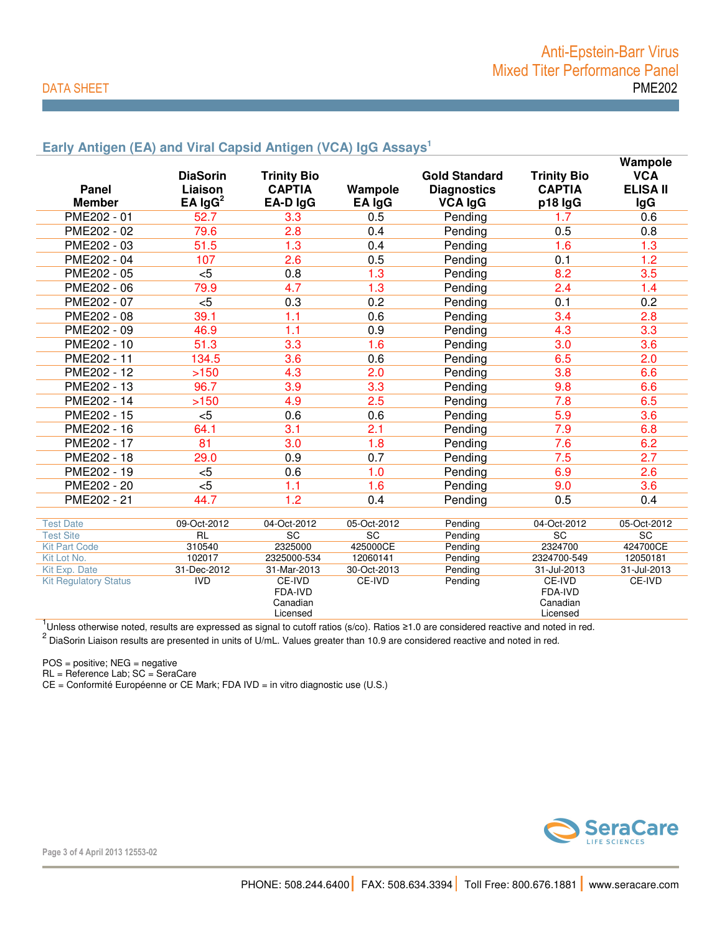# Anti-Epstein-Barr Virus Mixed Titer Performance Panel DATA SHEET PME202

## **Early Antigen (EA) and Viral Capsid Antigen (VCA) IgG Assays<sup>1</sup>**

|                                          |                 |                    |                  |                      |                    | Wampole         |
|------------------------------------------|-----------------|--------------------|------------------|----------------------|--------------------|-----------------|
|                                          | <b>DiaSorin</b> | <b>Trinity Bio</b> |                  | <b>Gold Standard</b> | <b>Trinity Bio</b> | <b>VCA</b>      |
| <b>Panel</b>                             | Liaison         | <b>CAPTIA</b>      | Wampole          | <b>Diagnostics</b>   | <b>CAPTIA</b>      | <b>ELISA II</b> |
| <b>Member</b>                            | EA $\lg G^2$    | EA-D IgG           | EA IgG           | <b>VCA IgG</b>       | p18 IgG            | <b>IgG</b>      |
| PME202 - 01                              | 52.7            | 3.3                | 0.5              | Pending              | 1.7                | 0.6             |
| PME202 - 02                              | 79.6            | 2.8                | 0.4              | Pending              | 0.5                | 0.8             |
| PME202 - 03                              | 51.5            | 1.3                | 0.4              | Pending              | 1.6                | 1.3             |
| PME202 - 04                              | 107             | 2.6                | 0.5              | Pending              | 0.1                | 1.2             |
| PME202 - 05                              | $5$             | 0.8                | 1.3              | Pending              | 8.2                | 3.5             |
| PME202 - 06                              | 79.9            | 4.7                | 1.3              | Pending              | 2.4                | 1.4             |
| PME202 - 07                              | $<$ 5           | 0.3                | 0.2              | Pending              | 0.1                | 0.2             |
| PME202 - 08                              | 39.1            | 1.1                | 0.6              | Pending              | 3.4                | 2.8             |
| PME202 - 09                              | 46.9            | 1.1                | 0.9              | Pending              | 4.3                | 3.3             |
| PME202 - 10                              | 51.3            | 3.3                | 1.6              | Pending              | 3.0                | 3.6             |
| PME202 - 11                              | 134.5           | 3.6                | 0.6              | Pending              | 6.5                | 2.0             |
| PME202 - 12                              | >150            | 4.3                | 2.0              | Pending              | 3.8                | 6.6             |
| PME202 - 13                              | 96.7            | 3.9                | 3.3              | Pending              | 9.8                | 6.6             |
| PME202 - 14                              | >150            | 4.9                | 2.5              | Pending              | 7.8                | 6.5             |
| PME202 - 15                              | $5$             | 0.6                | 0.6              | Pending              | 5.9                | 3.6             |
| PME202 - 16                              | 64.1            | $\overline{3.1}$   | $\overline{2.1}$ | Pending              | 7.9                | 6.8             |
| PME202 - 17                              | 81              | 3.0                | 1.8              | Pending              | 7.6                | 6.2             |
| PME202 - 18                              | 29.0            | 0.9                | 0.7              | Pending              | 7.5                | 2.7             |
| PME202 - 19                              | $5$             | 0.6                | 1.0              | Pending              | 6.9                | 2.6             |
| PME202 - 20                              | $\overline{5}$  | 1.1                | 1.6              | Pending              | 9.0                | 3.6             |
| PME202 - 21                              | 44.7            | 1.2                | 0.4              | Pending              | 0.5                | 0.4             |
|                                          |                 |                    |                  |                      |                    |                 |
| <b>Test Date</b>                         | 09-Oct-2012     | 04-Oct-2012        | 05-Oct-2012      | Pending              | 04-Oct-2012        | 05-Oct-2012     |
| <b>Test Site</b><br><b>Kit Part Code</b> | RL<br>310540    | SC<br>2325000      | SC<br>425000CE   | Pending              | SC<br>2324700      | SC<br>424700CE  |
| Kit Lot No.                              | 102017          | 2325000-534        | 12060141         | Pending<br>Pending   | 2324700-549        | 12050181        |
| Kit Exp. Date                            | 31-Dec-2012     | 31-Mar-2013        | 30-Oct-2013      | Pending              | 31-Jul-2013        | 31-Jul-2013     |
| <b>Kit Regulatory Status</b>             | <b>IVD</b>      | CE-IVD             | CE-IVD           | Pending              | CE-IVD             | CE-IVD          |
|                                          |                 | FDA-IVD            |                  |                      | FDA-IVD            |                 |
|                                          |                 | Canadian           |                  |                      | Canadian           |                 |
|                                          |                 | Licensed           |                  |                      | Licensed           |                 |

Licensed Licensed Licensed Licensed<br><sup>1</sup>Unless otherwise noted, results are expressed as signal to cutoff ratios (s/co). Ratios ≥1.0 are considered reactive and noted in red.<br><sup>2</sup> DiaSorin Liaison results are presented in u

POS = positive; NEG = negative

RL = Reference Lab; SC = SeraCare

CE = Conformité Européenne or CE Mark; FDA IVD = in vitro diagnostic use (U.S.)



Page 3 of 4 April 2013 12553-02